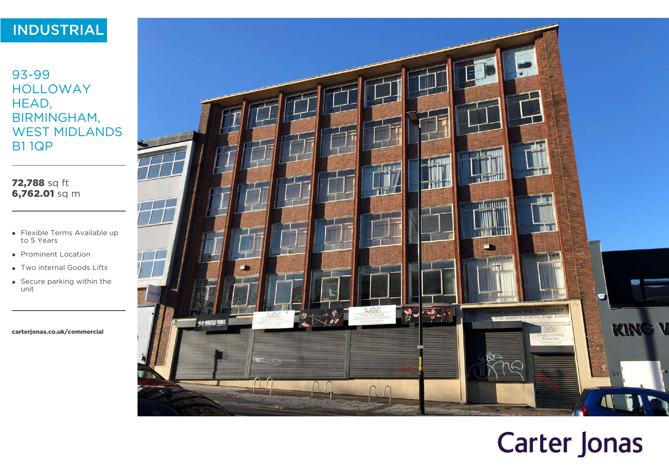# INDUSTRIAL

93-99 HOLLOWAY HEAD, BIRMINGHAM, WEST MIDLANDS B1 1QP

72,788 sq ft 6,762.01 sq m

- Flexible Terms Available up to 5 Years
- Prominent Location
- Two internal Goods Lifts
- Secure parking within the unit

[carterjonas.co.uk/commercial](https://carterjonas.co.uk/commercial)



# **Carter Jonas**